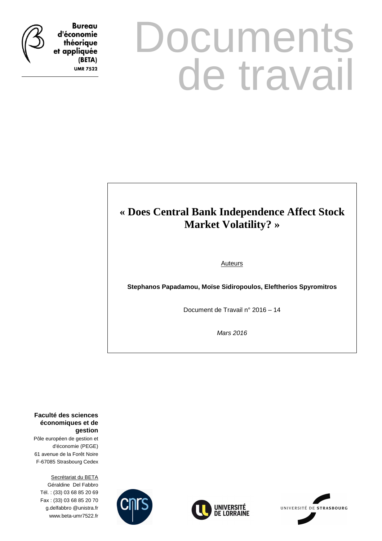

**Bureau** d'économie théorique et appliquée (BETA) **UMR 7522** 

# **Documents** de travail

## **« Does Central Bank Independence Affect Stock Market Volatility? »**

**Auteurs** 

**Stephanos Papadamou, Moïse Sidiropoulos, Eleftherios Spyromitros** 

Document de Travail n° 2016 – 14

Mars 2016

**Faculté des sciences économiques et de gestion**

Pôle européen de gestion et d'économie (PEGE) 61 avenue de la Forêt Noire F-67085 Strasbourg Cedex

Secrétariat du BETA Géraldine Del Fabbro Tél. : (33) 03 68 85 20 69 Fax : (33) 03 68 85 20 70 g.delfabbro @unistra.fr www.beta-umr7522.fr





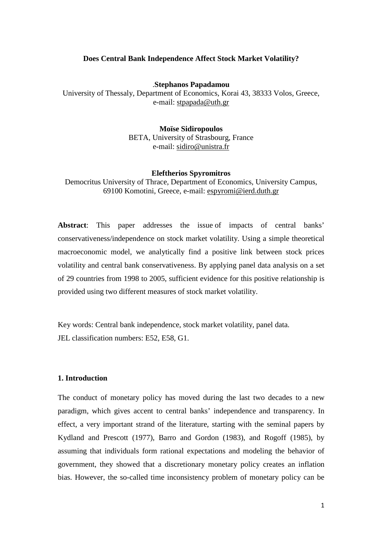#### **Does Central Bank Independence Affect Stock Market Volatility?**

.**Stephanos Papadamou** 

University of Thessaly, Department of Economics, Korai 43, 38333 Volos, Greece, e-mail: stpapada@uth.gr

> **Moïse Sidiropoulos**  BETA, University of Strasbourg, France e-mail: sidiro@unistra.fr

#### **Eleftherios Spyromitros**

Democritus University of Thrace, Department of Economics, University Campus, 69100 Komotini, Greece, e-mail: espyromi@ierd.duth.gr

**Abstract**: This paper addresses the issue of impacts of central banks' conservativeness/independence on stock market volatility. Using a simple theoretical macroeconomic model, we analytically find a positive link between stock prices volatility and central bank conservativeness. By applying panel data analysis on a set of 29 countries from 1998 to 2005, sufficient evidence for this positive relationship is provided using two different measures of stock market volatility.

Key words: Central bank independence, stock market volatility, panel data. JEL classification numbers: E52, E58, G1.

#### **1. Introduction**

The conduct of monetary policy has moved during the last two decades to a new paradigm, which gives accent to central banks' independence and transparency. In effect, a very important strand of the literature, starting with the seminal papers by Kydland and Prescott (1977), Barro and Gordon (1983), and Rogoff (1985), by assuming that individuals form rational expectations and modeling the behavior of government, they showed that a discretionary monetary policy creates an inflation bias. However, the so-called time inconsistency problem of monetary policy can be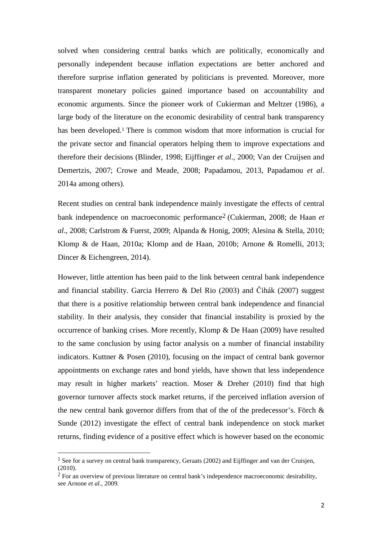solved when considering central banks which are politically, economically and personally independent because inflation expectations are better anchored and therefore surprise inflation generated by politicians is prevented. Moreover, more transparent monetary policies gained importance based on accountability and economic arguments. Since the pioneer work of Cukierman and Meltzer (1986), a large body of the literature on the economic desirability of central bank transparency has been developed.<sup>1</sup> There is common wisdom that more information is crucial for the private sector and financial operators helping them to improve expectations and therefore their decisions (Blinder, 1998; Eijffinger *et al*., 2000; Van der Cruijsen and Demertzis, 2007; Crowe and Meade, 2008; Papadamou, 2013, Papadamou *et al*. 2014a among others).

Recent studies on central bank independence mainly investigate the effects of central bank independence on macroeconomic performance2 (Cukierman, 2008; de Haan *et al*., 2008; Carlstrom & Fuerst, 2009; Alpanda & Honig, 2009; Alesina & Stella, 2010; Klomp & de Haan, 2010a; Klomp and de Haan, 2010b; Arnone & Romelli, 2013; Dincer & Eichengreen, 2014).

However, little attention has been paid to the link between central bank independence and financial stability. Garcia Herrero & Del Rio (2003) and Čihák (2007) suggest that there is a positive relationship between central bank independence and financial stability. In their analysis, they consider that financial instability is proxied by the occurrence of banking crises. More recently, Klomp & De Haan (2009) have resulted to the same conclusion by using factor analysis on a number of financial instability indicators. Kuttner & Posen (2010), focusing on the impact of central bank governor appointments on exchange rates and bond yields, have shown that less independence may result in higher markets' reaction. Moser & Dreher (2010) find that high governor turnover affects stock market returns, if the perceived inflation aversion of the new central bank governor differs from that of the of the predecessor's. Förch & Sunde (2012) investigate the effect of central bank independence on stock market returns, finding evidence of a positive effect which is however based on the economic

 $\overline{\phantom{0}}$ 

<sup>&</sup>lt;sup>1</sup> See for a survey on central bank transparency, Geraats (2002) and Eijffinger and van der Cruisjen, (2010).

<sup>2</sup> For an overview of previous literature on central bank's independence macroeconomic desirability, see Arnone *et al.,* 2009.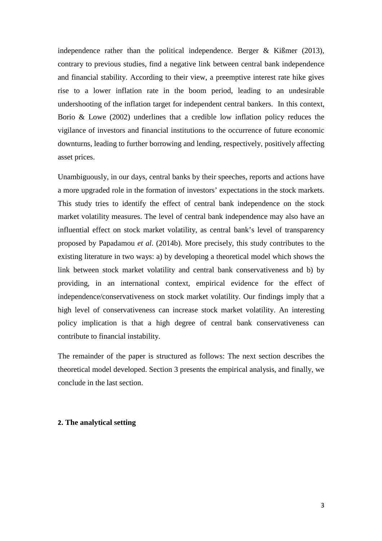independence rather than the political independence. Berger & Kißmer (2013), contrary to previous studies, find a negative link between central bank independence and financial stability. According to their view, a preemptive interest rate hike gives rise to a lower inflation rate in the boom period, leading to an undesirable undershooting of the inflation target for independent central bankers. In this context, Borio & Lowe (2002) underlines that a credible low inflation policy reduces the vigilance of investors and financial institutions to the occurrence of future economic downturns, leading to further borrowing and lending, respectively, positively affecting asset prices.

Unambiguously, in our days, central banks by their speeches, reports and actions have a more upgraded role in the formation of investors' expectations in the stock markets. This study tries to identify the effect of central bank independence on the stock market volatility measures. The level of central bank independence may also have an influential effect on stock market volatility, as central bank's level of transparency proposed by Papadamou *et al*. (2014b). More precisely, this study contributes to the existing literature in two ways: a) by developing a theoretical model which shows the link between stock market volatility and central bank conservativeness and b) by providing, in an international context, empirical evidence for the effect of independence/conservativeness on stock market volatility. Our findings imply that a high level of conservativeness can increase stock market volatility. An interesting policy implication is that a high degree of central bank conservativeness can contribute to financial instability.

The remainder of the paper is structured as follows: The next section describes the theoretical model developed. Section 3 presents the empirical analysis, and finally, we conclude in the last section.

#### **2. The analytical setting**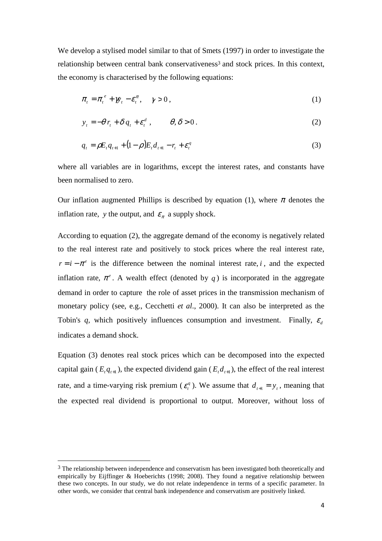We develop a stylised model similar to that of Smets (1997) in order to investigate the relationship between central bank conservativeness<sup>3</sup> and stock prices. In this context, the economy is characterised by the following equations:

$$
\pi_t = \pi_t^e + \mathcal{W}_t - \mathcal{E}_t^{\pi}, \quad \gamma > 0,
$$
\n<sup>(1)</sup>

$$
y_t = -\theta r_t + \delta q_t + \varepsilon_t^d, \qquad \theta, \delta > 0.
$$
 (2)

$$
q_{t} = \rho E_{t} q_{t+1} + (1 - \rho) E_{t} d_{t+1} - r_{t} + \varepsilon_{t}^{q}
$$
\n(3)

where all variables are in logarithms, except the interest rates, and constants have been normalised to zero.

Our inflation augmented Phillips is described by equation (1), where  $\pi$  denotes the inflation rate, y the output, and  $\varepsilon_{\pi}$  a supply shock.

According to equation (2), the aggregate demand of the economy is negatively related to the real interest rate and positively to stock prices where the real interest rate,  $r = i - \pi^e$  is the difference between the nominal interest rate, *i*, and the expected inflation rate,  $\pi^e$ . A wealth effect (denoted by *q*) is incorporated in the aggregate demand in order to capture the role of asset prices in the transmission mechanism of monetary policy (see, e.g., Cecchetti *et al*., 2000). It can also be interpreted as the Tobin's *q*, which positively influences consumption and investment. Finally,  $\varepsilon_d$ indicates a demand shock.

Equation (3) denotes real stock prices which can be decomposed into the expected capital gain ( $E_{t}q_{t+1}$ ), the expected dividend gain ( $E_{t}d_{t+1}$ ), the effect of the real interest rate, and a time-varying risk premium ( $\varepsilon_t^q$ ). We assume that  $d_{t+1} = y_t$ , meaning that the expected real dividend is proportional to output. Moreover, without loss of

 $\overline{a}$ 

<sup>&</sup>lt;sup>3</sup> The relationship between independence and conservatism has been investigated both theoretically and empirically by Eijffinger & Hoeberichts (1998; 2008). They found a negative relationship between these two concepts. In our study, we do not relate independence in terms of a specific parameter. In other words, we consider that central bank independence and conservatism are positively linked.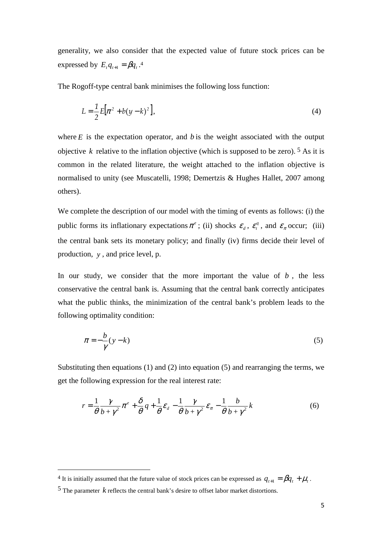generality, we also consider that the expected value of future stock prices can be expressed by  $E_t q_{t+1} = \beta q_t$ .<sup>4</sup>

The Rogoff-type central bank minimises the following loss function:

$$
L = \frac{1}{2}E[\pi^2 + b(y - k)^2],
$$
\n(4)

where  $E$  is the expectation operator, and  $b$  is the weight associated with the output objective *k* relative to the inflation objective (which is supposed to be zero). <sup>5</sup> As it is common in the related literature, the weight attached to the inflation objective is normalised to unity (see Muscatelli, 1998; Demertzis & Hughes Hallet, 2007 among others).

We complete the description of our model with the timing of events as follows: (i) the public forms its inflationary expectations  $\pi^e$ ; (ii) shocks  $\varepsilon_a$ ,  $\varepsilon_i^q$  $\varepsilon_t^q$ , and  $\varepsilon_{\pi}$  occur; (iii) the central bank sets its monetary policy; and finally (iv) firms decide their level of production, *y* , and price level, p.

In our study, we consider that the more important the value of  $b$ , the less conservative the central bank is. Assuming that the central bank correctly anticipates what the public thinks, the minimization of the central bank's problem leads to the following optimality condition:

$$
\pi = -\frac{b}{\gamma}(y - k) \tag{5}
$$

Substituting then equations (1) and (2) into equation (5) and rearranging the terms, we get the following expression for the real interest rate:

$$
r = \frac{1}{\theta} \frac{\gamma}{b + \gamma^2} \pi^e + \frac{\delta}{\theta} q + \frac{1}{\theta} \varepsilon_d - \frac{1}{\theta} \frac{\gamma}{b + \gamma^2} \varepsilon_{\pi} - \frac{1}{\theta} \frac{b}{b + \gamma^2} k \tag{6}
$$

l

<sup>&</sup>lt;sup>4</sup> It is initially assumed that the future value of stock prices can be expressed as  $q_{t+1} = \beta q_t + \mu_t$ .

<sup>5</sup> The parameter *k* reflects the central bank's desire to offset labor market distortions.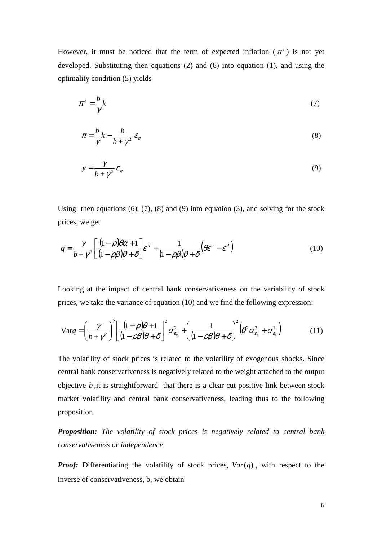However, it must be noticed that the term of expected inflation  $(\pi^e)$  is not yet developed. Substituting then equations (2) and (6) into equation (1), and using the optimality condition (5) yields

$$
\pi^e = \frac{b}{\gamma}k\tag{7}
$$

$$
\pi = \frac{b}{\gamma}k - \frac{b}{b + \gamma^2} \varepsilon_{\pi} \tag{8}
$$

$$
y = \frac{\gamma}{b + \gamma^2} \mathcal{E}_{\pi} \tag{9}
$$

Using then equations  $(6)$ ,  $(7)$ ,  $(8)$  and  $(9)$  into equation  $(3)$ , and solving for the stock prices, we get

$$
q = \frac{\gamma}{b + \gamma^2} \left[ \frac{(1 - \rho)\theta\alpha + 1}{(1 - \rho\beta)\theta + \delta} \right] \varepsilon^{\pi} + \frac{1}{(1 - \rho\beta)\theta + \delta} \left( \theta \varepsilon^q - \varepsilon^d \right)
$$
(10)

Looking at the impact of central bank conservativeness on the variability of stock prices, we take the variance of equation (10) and we find the following expression:

$$
\text{Var}_q = \left(\frac{\gamma}{b + \gamma^2}\right)^2 \left[\frac{(1 - \rho)\theta + 1}{(1 - \rho\beta)\theta + \delta}\right]^2 \sigma_{\varepsilon_\pi}^2 + \left(\frac{1}{(1 - \rho\beta)\theta + \delta}\right)^2 \left(\theta^2 \sigma_{\varepsilon_q}^2 + \sigma_{\varepsilon_d}^2\right) \tag{11}
$$

The volatility of stock prices is related to the volatility of exogenous shocks. Since central bank conservativeness is negatively related to the weight attached to the output objective *b* ,it is straightforward that there is a clear-cut positive link between stock market volatility and central bank conservativeness, leading thus to the following proposition.

*Proposition: The volatility of stock prices is negatively related to central bank conservativeness or independence.*

*Proof:* Differentiating the volatility of stock prices,  $Var(q)$ , with respect to the inverse of conservativeness, b, we obtain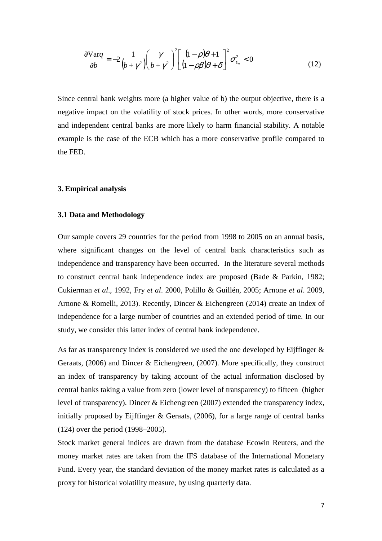$$
\frac{\partial \text{Var}_q}{\partial b} = -2 \frac{1}{(b + \gamma^2)} \left( \frac{\gamma}{b + \gamma^2} \right)^2 \left[ \frac{(1 - \rho)\theta + 1}{(1 - \rho\beta)\theta + \delta} \right]^2 \sigma_{\varepsilon_\pi}^2 < 0 \tag{12}
$$

Since central bank weights more (a higher value of b) the output objective, there is a negative impact on the volatility of stock prices. In other words, more conservative and independent central banks are more likely to harm financial stability. A notable example is the case of the ECB which has a more conservative profile compared to the FED.

#### **3. Empirical analysis**

#### **3.1 Data and Methodology**

Our sample covers 29 countries for the period from 1998 to 2005 on an annual basis, where significant changes on the level of central bank characteristics such as independence and transparency have been occurred. In the literature several methods to construct central bank independence index are proposed (Bade & Parkin, 1982; Cukierman *et al*., 1992, Fry *et al*. 2000, Polillo & Guillén, 2005; Arnone *et al*. 2009, Arnone & Romelli, 2013). Recently, Dincer & Eichengreen (2014) create an index of independence for a large number of countries and an extended period of time. In our study, we consider this latter index of central bank independence.

As far as transparency index is considered we used the one developed by Eijffinger & Geraats, (2006) and Dincer & Eichengreen, (2007). More specifically, they construct an index of transparency by taking account of the actual information disclosed by central banks taking a value from zero (lower level of transparency) to fifteen (higher level of transparency). Dincer & Eichengreen (2007) extended the transparency index, initially proposed by Eijffinger & Geraats,  $(2006)$ , for a large range of central banks (124) over the period (1998–2005).

Stock market general indices are drawn from the database Ecowin Reuters, and the money market rates are taken from the IFS database of the International Monetary Fund. Every year, the standard deviation of the money market rates is calculated as a proxy for historical volatility measure, by using quarterly data.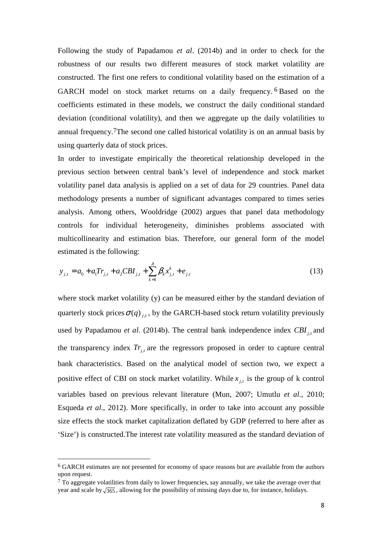Following the study of Papadamou *et al*. (2014b) and in order to check for the robustness of our results two different measures of stock market volatility are constructed. The first one refers to conditional volatility based on the estimation of a GARCH model on stock market returns on a daily frequency. 6 Based on the coefficients estimated in these models, we construct the daily conditional standard deviation (conditional volatility), and then we aggregate up the daily volatilities to annual frequency.7The second one called historical volatility is on an annual basis by using quarterly data of stock prices.

In order to investigate empirically the theoretical relationship developed in the previous section between central bank's level of independence and stock market volatility panel data analysis is applied on a set of data for 29 countries. Panel data methodology presents a number of significant advantages compared to times series analysis. Among others, Wooldridge (2002) argues that panel data methodology controls for individual heterogeneity, diminishes problems associated with multicollinearity and estimation bias. Therefore, our general form of the model estimated is the following:

$$
y_{j,t} = a_0 + a_1 Tr_{j,t} + a_2 CBI_{j,t} + \sum_{k=1}^{\lambda} \beta_k x_{j,t}^k + e_{j,t}
$$
 (13)

where stock market volatility (y) can be measured either by the standard deviation of quarterly stock prices  $\sigma(q)$   $_{i,t}$ , by the GARCH-based stock return volatility previously used by Papadamou *et al.* (2014b). The central bank independence index CBI<sub>j,t</sub> and the transparency index  $Tr_{j,t}$  are the regressors proposed in order to capture central bank characteristics. Based on the analytical model of section two, we expect a positive effect of CBI on stock market volatility. While  $x_{j,t}$  is the group of k control variables based on previous relevant literature (Mun, 2007; Umutlu *et al.*, 2010; Esqueda *et al.*, 2012). More specifically, in order to take into account any possible size effects the stock market capitalization deflated by GDP (referred to here after as 'Size') is constructed.The interest rate volatility measured as the standard deviation of

 $\overline{a}$ 

<sup>6</sup> GARCH estimates are not presented for economy of space reasons but are available from the authors upon request.

 $<sup>7</sup>$  To aggregate volatilities from daily to lower frequencies, say annually, we take the average over that</sup> year and scale by  $\sqrt{365}$ , allowing for the possibility of missing days due to, for instance, holidays.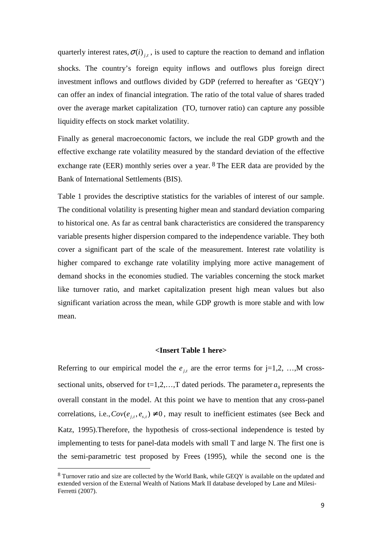quarterly interest rates,  $\sigma(i)$ <sub>*j,t*</sub>, is used to capture the reaction to demand and inflation shocks. The country's foreign equity inflows and outflows plus foreign direct investment inflows and outflows divided by GDP (referred to hereafter as 'GEQY') can offer an index of financial integration. The ratio of the total value of shares traded over the average market capitalization (TO, turnover ratio) can capture any possible liquidity effects on stock market volatility.

Finally as general macroeconomic factors, we include the real GDP growth and the effective exchange rate volatility measured by the standard deviation of the effective exchange rate (EER) monthly series over a year. 8 The EER data are provided by the Bank of International Settlements (BIS).

Table 1 provides the descriptive statistics for the variables of interest of our sample. The conditional volatility is presenting higher mean and standard deviation comparing to historical one. As far as central bank characteristics are considered the transparency variable presents higher dispersion compared to the independence variable. They both cover a significant part of the scale of the measurement. Interest rate volatility is higher compared to exchange rate volatility implying more active management of demand shocks in the economies studied. The variables concerning the stock market like turnover ratio, and market capitalization present high mean values but also significant variation across the mean, while GDP growth is more stable and with low mean.

#### **<Insert Table 1 here>**

Referring to our empirical model the  $e_{j,t}$  are the error terms for j=1,2, ...,M crosssectional units, observed for  $t=1,2,...,T$  dated periods. The parameter  $a_0$  represents the overall constant in the model. At this point we have to mention that any cross-panel correlations, i.e.,  $Cov(e_{i,t}, e_{s,t}) \neq 0$ , may result to inefficient estimates (see Beck and Katz, 1995).Therefore, the hypothesis of cross-sectional independence is tested by implementing to tests for panel-data models with small T and large N. The first one is the semi-parametric test proposed by Frees (1995), while the second one is the

l

<sup>8</sup> Turnover ratio and size are collected by the World Bank, while GEQY is available on the updated and extended version of the External Wealth of Nations Mark II database developed by Lane and Milesi-Ferretti (2007).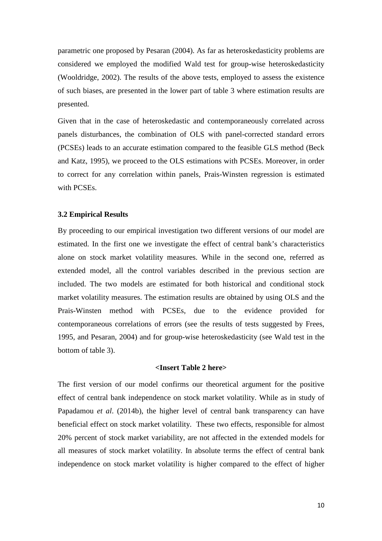parametric one proposed by Pesaran (2004). As far as heteroskedasticity problems are considered we employed the modified Wald test for group-wise heteroskedasticity (Wooldridge, 2002). The results of the above tests, employed to assess the existence of such biases, are presented in the lower part of table 3 where estimation results are presented.

Given that in the case of heteroskedastic and contemporaneously correlated across panels disturbances, the combination of OLS with panel-corrected standard errors (PCSEs) leads to an accurate estimation compared to the feasible GLS method (Beck and Katz, 1995), we proceed to the OLS estimations with PCSEs. Moreover, in order to correct for any correlation within panels, Prais-Winsten regression is estimated with PCSEs.

#### **3.2 Empirical Results**

By proceeding to our empirical investigation two different versions of our model are estimated. In the first one we investigate the effect of central bank's characteristics alone on stock market volatility measures. While in the second one, referred as extended model, all the control variables described in the previous section are included. The two models are estimated for both historical and conditional stock market volatility measures. The estimation results are obtained by using OLS and the Prais-Winsten method with PCSEs, due to the evidence provided for contemporaneous correlations of errors (see the results of tests suggested by Frees, 1995, and Pesaran, 2004) and for group-wise heteroskedasticity (see Wald test in the bottom of table 3).

#### **<Insert Table 2 here>**

The first version of our model confirms our theoretical argument for the positive effect of central bank independence on stock market volatility. While as in study of Papadamou *et al*. (2014b), the higher level of central bank transparency can have beneficial effect on stock market volatility. These two effects, responsible for almost 20% percent of stock market variability, are not affected in the extended models for all measures of stock market volatility. In absolute terms the effect of central bank independence on stock market volatility is higher compared to the effect of higher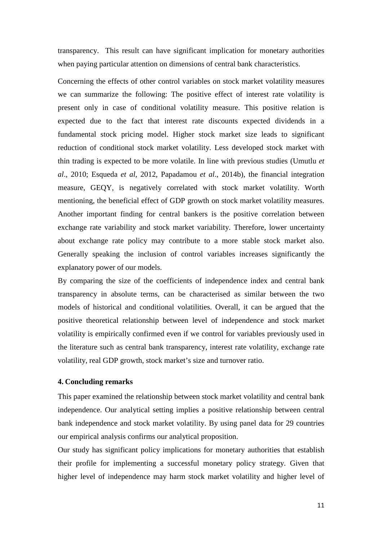transparency. This result can have significant implication for monetary authorities when paying particular attention on dimensions of central bank characteristics.

Concerning the effects of other control variables on stock market volatility measures we can summarize the following: The positive effect of interest rate volatility is present only in case of conditional volatility measure. This positive relation is expected due to the fact that interest rate discounts expected dividends in a fundamental stock pricing model. Higher stock market size leads to significant reduction of conditional stock market volatility. Less developed stock market with thin trading is expected to be more volatile. In line with previous studies (Umutlu *et al*., 2010; Esqueda *et al*, 2012, Papadamou *et al*., 2014b), the financial integration measure, GEQY, is negatively correlated with stock market volatility. Worth mentioning, the beneficial effect of GDP growth on stock market volatility measures. Another important finding for central bankers is the positive correlation between exchange rate variability and stock market variability. Therefore, lower uncertainty about exchange rate policy may contribute to a more stable stock market also. Generally speaking the inclusion of control variables increases significantly the explanatory power of our models.

By comparing the size of the coefficients of independence index and central bank transparency in absolute terms, can be characterised as similar between the two models of historical and conditional volatilities. Overall, it can be argued that the positive theoretical relationship between level of independence and stock market volatility is empirically confirmed even if we control for variables previously used in the literature such as central bank transparency, interest rate volatility, exchange rate volatility, real GDP growth, stock market's size and turnover ratio.

#### **4. Concluding remarks**

This paper examined the relationship between stock market volatility and central bank independence. Our analytical setting implies a positive relationship between central bank independence and stock market volatility. By using panel data for 29 countries our empirical analysis confirms our analytical proposition.

Our study has significant policy implications for monetary authorities that establish their profile for implementing a successful monetary policy strategy. Given that higher level of independence may harm stock market volatility and higher level of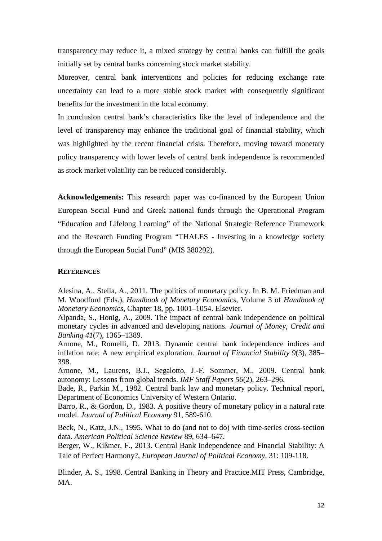transparency may reduce it, a mixed strategy by central banks can fulfill the goals initially set by central banks concerning stock market stability.

Moreover, central bank interventions and policies for reducing exchange rate uncertainty can lead to a more stable stock market with consequently significant benefits for the investment in the local economy.

In conclusion central bank's characteristics like the level of independence and the level of transparency may enhance the traditional goal of financial stability, which was highlighted by the recent financial crisis. Therefore, moving toward monetary policy transparency with lower levels of central bank independence is recommended as stock market volatility can be reduced considerably.

**Acknowledgements:** This research paper was co-financed by the European Union European Social Fund and Greek national funds through the Operational Program "Education and Lifelong Learning" of the National Strategic Reference Framework and the Research Funding Program "THALES - Investing in a knowledge society through the European Social Fund" (MIS 380292).

#### **REFERENCES**

Alesina, A., Stella, A., 2011. The politics of monetary policy. In B. M. Friedman and M. Woodford (Eds.), *Handbook of Monetary Economics*, Volume 3 of *Handbook of Monetary Economics*, Chapter 18, pp. 1001–1054. Elsevier.

Alpanda, S., Honig, A., 2009. The impact of central bank independence on political monetary cycles in advanced and developing nations. *Journal of Money, Credit and Banking 41*(7), 1365–1389.

Arnone, M., Romelli, D. 2013. Dynamic central bank independence indices and inflation rate: A new empirical exploration. *Journal of Financial Stability 9*(3), 385– 398.

Arnone, M., Laurens, B.J., Segalotto, J.-F. Sommer, M., 2009. Central bank autonomy: Lessons from global trends. *IMF Staff Papers 56*(2), 263–296.

Bade, R., Parkin M., 1982. Central bank law and monetary policy. Technical report, Department of Economics University of Western Ontario.

Barro, R., & Gordon, D., 1983. A positive theory of monetary policy in a natural rate model. *Journal of Political Economy* 91, 589-610.

Beck, N., Katz, J.N., 1995. What to do (and not to do) with time-series cross-section data. *American Political Science Review* 89, 634–647.

Berger, W., Kißmer, F., 2013. Central Bank Independence and Financial Stability: A Tale of Perfect Harmony?, *European Journal of Political Economy*, 31: 109-118.

Blinder, A. S., 1998. Central Banking in Theory and Practice.MIT Press, Cambridge, MA.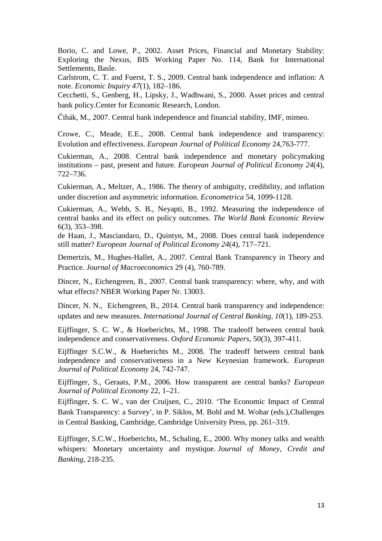Borio, C. and Lowe, P., 2002. Asset Prices, Financial and Monetary Stability: Exploring the Nexus, BIS Working Paper No. 114, Bank for International Settlements, Basle.

Carlstrom, C. T. and Fuerst, T. S., 2009. Central bank independence and inflation: A note. *Economic Inquiry 47*(1), 182–186.

Cecchetti, S., Genberg, H., Lipsky, J., Wadhwani, S., 2000. Asset prices and central bank policy.Center for Economic Research, London.

Čihák, M., 2007. Central bank independence and financial stability, IMF, mimeo.

Crowe, C., Meade, E.E., 2008. Central bank independence and transparency: Evolution and effectiveness. *European Journal of Political Economy* 24,763-777.

Cukierman, A., 2008. Central bank independence and monetary policymaking institutions – past, present and future. *European Journal of Political Economy 24*(4), 722–736.

Cukierman, A., Meltzer, A., 1986. The theory of ambiguity, credibility, and inflation under discretion and asymmetric information. *Econometrica* 54, 1099-1128.

Cukierman, A., Webb, S. B., Neyapti, B., 1992. Measuring the independence of central banks and its effect on policy outcomes. *The World Bank Economic Review*  6(3), 353–398.

de Haan, J., Masciandaro, D., Quintyn, M., 2008. Does central bank independence still matter? *European Journal of Political Economy 24*(4), 717–721.

Demertzis, M., Hughes-Hallet, A., 2007. Central Bank Transparency in Theory and Practice*. Journal of Macroeconomics* 29 (4), 760-789.

Dincer, N., Eichengreen, B., 2007. Central bank transparency: where, why, and with what effects? NBER Working Paper Nr. 13003.

Dincer, N. N., Eichengreen, B., 2014. Central bank transparency and independence: updates and new measures. *International Journal of Central Banking*, *10*(1), 189-253.

Eijffinger, S. C. W., & Hoeberichts, M., 1998. The tradeoff between central bank independence and conservativeness. *Oxford Economic Papers*, 50(3), 397-411.

Eijffinger S.C.W., & Hoeberichts M., 2008. The tradeoff between central bank independence and conservativeness in a New Keynesian framework. *European Journal of Political Economy* 24, 742-747.

Eijffinger, S., Geraats, P.M., 2006. How transparent are central banks? *European Journal of Political Economy* 22, 1–21.

Eijffinger, S. C. W., van der Cruijsen, C., 2010. 'The Economic Impact of Central Bank Transparency: a Survey', in P. Siklos, M. Bohl and M. Wohar (eds.),Challenges in Central Banking, Cambridge, Cambridge University Press, pp. 261–319.

Eijffinger, S.C.W., Hoeberichts, M., Schaling, E., 2000. Why money talks and wealth whispers: Monetary uncertainty and mystique. *Journal of Money, Credit and Banking*, 218-235.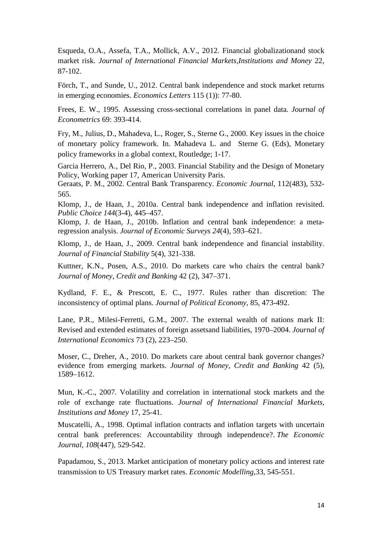Esqueda, O.A., Assefa, T.A., Mollick, A.V., 2012. Financial globalizationand stock market risk. *Journal of International Financial Markets,Institutions and Money* 22, 87-102.

Förch, T., and Sunde, U., 2012. Central bank independence and stock market returns in emerging economies. *Economics Letters* 115 (1)): 77-80.

Frees, E. W., 1995. Assessing cross-sectional correlations in panel data. *Journal of Econometrics* 69: 393-414.

Fry, M., Julius, D., Mahadeva, L., Roger, S., Sterne G., 2000. Key issues in the choice of monetary policy framework. In. Mahadeva L. and Sterne G. (Eds), Monetary policy frameworks in a global context, Routledge; 1-17.

Garcia Herrero, A., Del Rio, P., 2003. Financial Stability and the Design of Monetary Policy, Working paper 17, American University Paris.

Geraats, P. M., 2002. Central Bank Transparency. *Economic Journal*, 112(483), 532- 565.

Klomp, J., de Haan, J., 2010a. Central bank independence and inflation revisited. *Public Choice 144*(3-4), 445–457.

Klomp, J. de Haan, J., 2010b. Inflation and central bank independence: a metaregression analysis. *Journal of Economic Surveys 24*(4), 593–621.

Klomp, J., de Haan, J., 2009. Central bank independence and financial instability. *Journal of Financial Stability* 5(4), 321-338.

Kuttner, K.N., Posen, A.S., 2010. Do markets care who chairs the central bank? *Journal of Money, Credit and Banking* 42 (2), 347–371.

Kydland, F. E., & Prescott, E. C., 1977. Rules rather than discretion: The inconsistency of optimal plans. *Journal of Political Economy*, 85, 473-492.

Lane, P.R., Milesi-Ferretti, G.M., 2007. The external wealth of nations mark II: Revised and extended estimates of foreign assetsand liabilities, 1970–2004. *Journal of International Economics* 73 (2), 223–250.

Moser, C., Dreher, A., 2010. Do markets care about central bank governor changes? evidence from emerging markets. *Journal of Money, Credit and Banking* 42 (5), 1589–1612.

Mun, K.-C., 2007. Volatility and correlation in international stock markets and the role of exchange rate fluctuations. *Journal of International Financial Markets, Institutions and Money* 17, 25-41.

Muscatelli, A., 1998. Optimal inflation contracts and inflation targets with uncertain central bank preferences: Accountability through independence?. *The Economic Journal*, *108*(447), 529-542.

Papadamou, S., 2013. Market anticipation of monetary policy actions and interest rate transmission to US Treasury market rates. *Economic Modelling*,33, 545-551.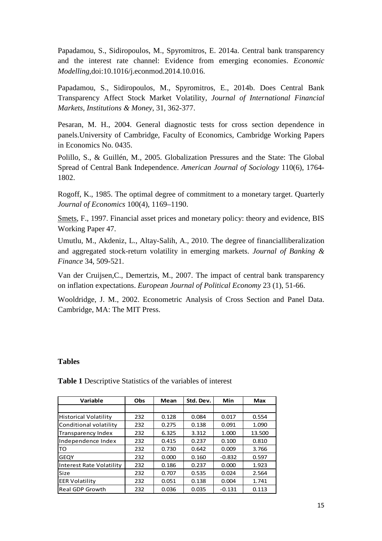Papadamou, S., Sidiropoulos, M., Spyromitros, E. 2014a. Central bank transparency and the interest rate channel: Evidence from emerging economies. *Economic Modelling*,doi:10.1016/j.econmod.2014.10.016.

Papadamou, S., Sidiropoulos, M., Spyromitros, E., 2014b. Does Central Bank Transparency Affect Stock Market Volatility, *Journal of International Financial Markets, Institutions & Money*, 31, 362-377.

Pesaran, M. H., 2004. General diagnostic tests for cross section dependence in panels.University of Cambridge, Faculty of Economics, Cambridge Working Papers in Economics No. 0435.

Polillo, S., & Guillén, M., 2005. Globalization Pressures and the State: The Global Spread of Central Bank Independence. *American Journal of Sociology* 110(6), 1764- 1802.

Rogoff, K., 1985. The optimal degree of commitment to a monetary target. Quarterly *Journal of Economics* 100(4), 1169–1190.

Smets, F., 1997. Financial asset prices and monetary policy: theory and evidence, BIS Working Paper 47.

Umutlu, M., Akdeniz, L., Altay-Salih, A., 2010. The degree of financialliberalization and aggregated stock-return volatility in emerging markets. *Journal of Banking & Finance* 34, 509-521.

Van der Cruijsen,C., Demertzis, M., 2007. The impact of central bank transparency on inflation expectations. *European Journal of Political Economy* 23 (1), 51-66.

Wooldridge, J. M., 2002. Econometric Analysis of Cross Section and Panel Data. Cambridge, MA: The MIT Press.

### **Tables**

|                          |     |       |           |          | Max    |  |
|--------------------------|-----|-------|-----------|----------|--------|--|
| Variable                 | Obs | Mean  | Std. Dev. | Min      |        |  |
|                          |     |       |           |          |        |  |
| Historical Volatility    | 232 | 0.128 | 0.084     | 0.017    | 0.554  |  |
| Conditional volatility   | 232 | 0.275 | 0.138     | 0.091    | 1.090  |  |
| Transparency Index       | 232 | 6.325 | 3.312     | 1.000    | 13.500 |  |
| Independence Index       | 232 | 0.415 | 0.237     | 0.100    | 0.810  |  |
| <b>TO</b>                | 232 | 0.730 | 0.642     | 0.009    | 3.766  |  |
| <b>GEOY</b>              | 232 | 0.000 | 0.160     | $-0.832$ | 0.597  |  |
| Interest Rate Volatility | 232 | 0.186 | 0.237     | 0.000    | 1.923  |  |
| <b>Size</b>              | 232 | 0.707 | 0.535     | 0.024    | 2.564  |  |
| <b>EER Volatility</b>    | 232 | 0.051 | 0.138     | 0.004    | 1.741  |  |
| Real GDP Growth          | 232 | 0.036 | 0.035     | $-0.131$ | 0.113  |  |

**Table 1** Descriptive Statistics of the variables of interest